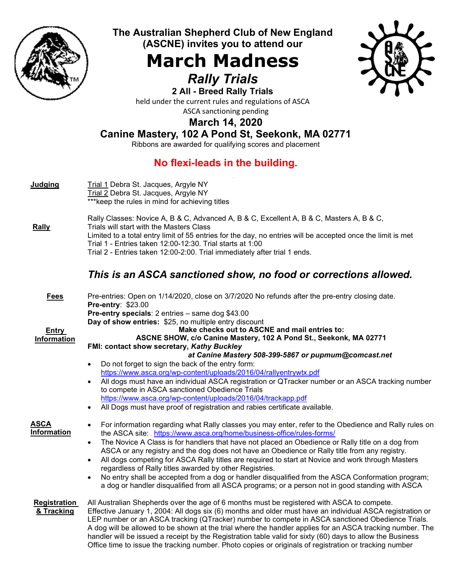

The Australian Shepherd Club of New England (ASCNE) invites you to attend our

## March Madness Rally Trials



2 All - Breed Rally Trials held under the current rules and regulations of ASCA ASCA sanctioning pending

## March 14, 2020

## Canine Mastery, 102 A Pond St, Seekonk, MA 02771

Ribbons are awarded for qualifying scores and placement

## No flexi-leads in the building.

| <b>Judging</b>                    | Trial 1 Debra St. Jacques, Argyle NY<br>Trial 2 Debra St. Jacques, Argyle NY<br>*** keep the rules in mind for achieving titles                                                                                                                                                                                                                                                                                                                                                                                                                                                                                                                  |
|-----------------------------------|--------------------------------------------------------------------------------------------------------------------------------------------------------------------------------------------------------------------------------------------------------------------------------------------------------------------------------------------------------------------------------------------------------------------------------------------------------------------------------------------------------------------------------------------------------------------------------------------------------------------------------------------------|
| <b>Rally</b>                      | Rally Classes: Novice A, B & C, Advanced A, B & C, Excellent A, B & C, Masters A, B & C,<br>Trials will start with the Masters Class<br>Limited to a total entry limit of 55 entries for the day, no entries will be accepted once the limit is met<br>Trial 1 - Entries taken 12:00-12:30. Trial starts at 1:00<br>Trial 2 - Entries taken 12:00-2:00. Trial immediately after trial 1 ends.                                                                                                                                                                                                                                                    |
|                                   | This is an ASCA sanctioned show, no food or corrections allowed.                                                                                                                                                                                                                                                                                                                                                                                                                                                                                                                                                                                 |
| <b>Fees</b><br><b>Entry</b>       | Pre-entries: Open on 1/14/2020, close on 3/7/2020 No refunds after the pre-entry closing date.<br><b>Pre-entry: \$23.00</b><br>Pre-entry specials: 2 entries - same dog \$43.00<br>Day of show entries: \$25, no multiple entry discount<br>Make checks out to ASCNE and mail entries to:                                                                                                                                                                                                                                                                                                                                                        |
| Information                       | ASCNE SHOW, c/o Canine Mastery, 102 A Pond St., Seekonk, MA 02771                                                                                                                                                                                                                                                                                                                                                                                                                                                                                                                                                                                |
|                                   | FMI: contact show secretary, Kathy Buckley<br>at Canine Mastery 508-399-5867 or pupmum@comcast.net                                                                                                                                                                                                                                                                                                                                                                                                                                                                                                                                               |
|                                   | Do not forget to sign the back of the entry form:<br>$\bullet$                                                                                                                                                                                                                                                                                                                                                                                                                                                                                                                                                                                   |
|                                   | https://www.asca.org/wp-content/uploads/2016/04/rallyentrywtx.pdf                                                                                                                                                                                                                                                                                                                                                                                                                                                                                                                                                                                |
|                                   | All dogs must have an individual ASCA registration or QTracker number or an ASCA tracking number<br>to compete in ASCA sanctioned Obedience Trials                                                                                                                                                                                                                                                                                                                                                                                                                                                                                               |
|                                   | https://www.asca.org/wp-content/uploads/2016/04/trackapp.pdf<br>All Dogs must have proof of registration and rabies certificate available.                                                                                                                                                                                                                                                                                                                                                                                                                                                                                                       |
|                                   | $\bullet$                                                                                                                                                                                                                                                                                                                                                                                                                                                                                                                                                                                                                                        |
| <b>ASCA</b><br>Information        | For information regarding what Rally classes you may enter, refer to the Obedience and Rally rules on<br>$\bullet$<br>the ASCA site: https://www.asca.org/home/business-office/rules-forms/                                                                                                                                                                                                                                                                                                                                                                                                                                                      |
|                                   | The Novice A Class is for handlers that have not placed an Obedience or Rally title on a dog from<br>$\bullet$<br>ASCA or any registry and the dog does not have an Obedience or Rally title from any registry.                                                                                                                                                                                                                                                                                                                                                                                                                                  |
|                                   | All dogs competing for ASCA Rally titles are required to start at Novice and work through Masters<br>$\bullet$<br>regardless of Rally titles awarded by other Registries.                                                                                                                                                                                                                                                                                                                                                                                                                                                                        |
|                                   | No entry shall be accepted from a dog or handler disqualified from the ASCA Conformation program;<br>$\bullet$<br>a dog or handler disqualified from all ASCA programs; or a person not in good standing with ASCA                                                                                                                                                                                                                                                                                                                                                                                                                               |
| <b>Registration</b><br>& Tracking | All Australian Shepherds over the age of 6 months must be registered with ASCA to compete.<br>Effective January 1, 2004: All dogs six (6) months and older must have an individual ASCA registration or<br>LEP number or an ASCA tracking (QTracker) number to compete in ASCA sanctioned Obedience Trials.<br>A dog will be allowed to be shown at the trial where the handler applies for an ASCA tracking number. The<br>handler will be issued a receipt by the Registration table valid for sixty (60) days to allow the Business<br>Office time to issue the tracking number. Photo copies or originals of registration or tracking number |